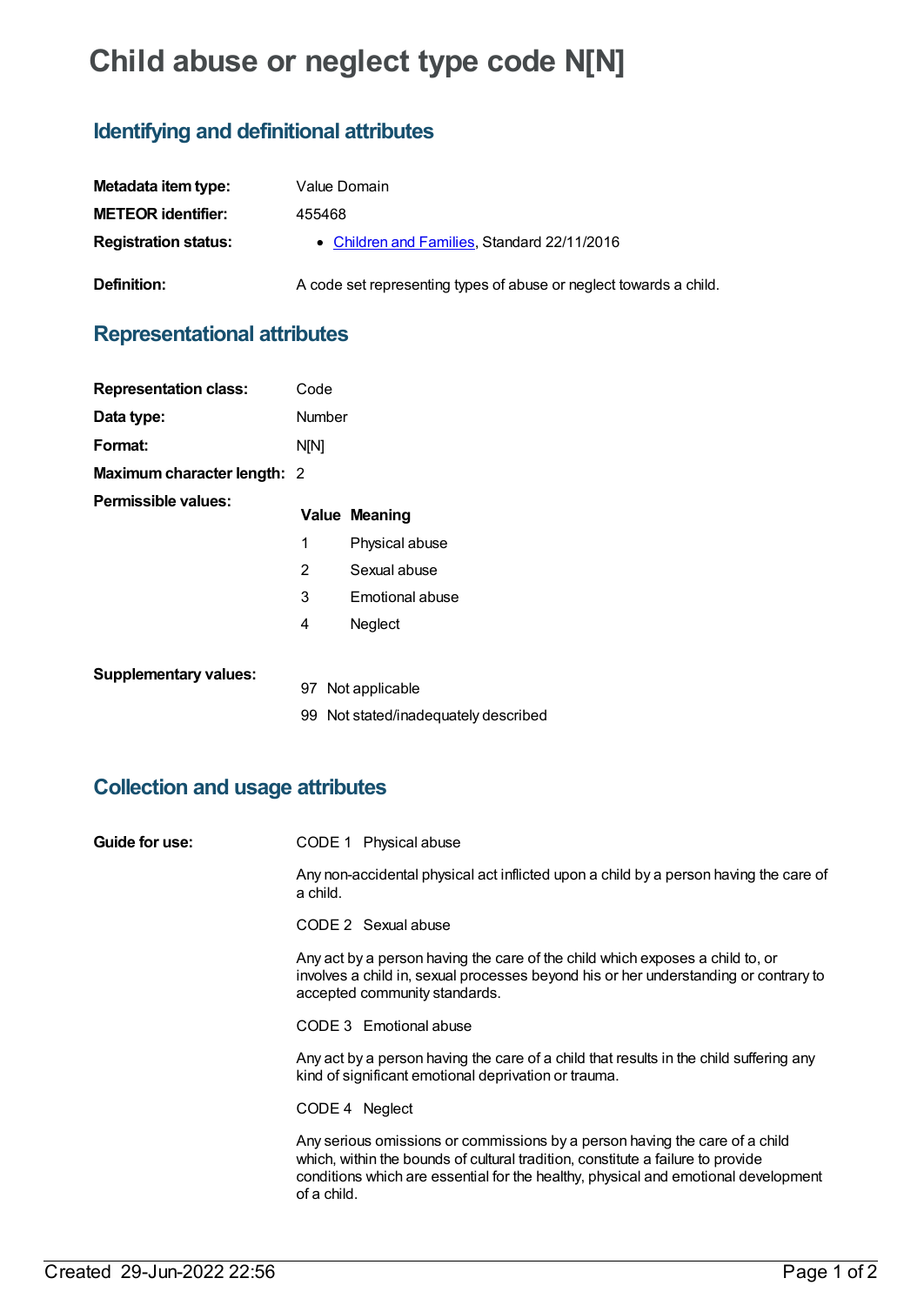# **Child abuse or neglect type code N[N]**

# **Identifying and definitional attributes**

| Metadata item type:         | Value Domain                                                       |
|-----------------------------|--------------------------------------------------------------------|
| <b>METEOR identifier:</b>   | 455468                                                             |
| <b>Registration status:</b> | • Children and Families, Standard 22/11/2016                       |
| Definition:                 | A code set representing types of abuse or neglect towards a child. |

## **Representational attributes**

| <b>Representation class:</b> | Code        |                                      |
|------------------------------|-------------|--------------------------------------|
| Data type:                   | Number      |                                      |
| Format:                      | <b>N[N]</b> |                                      |
| Maximum character length: 2  |             |                                      |
| Permissible values:          |             | <b>Value Meaning</b>                 |
|                              | 1           | Physical abuse                       |
|                              | 2           | Sexual abuse                         |
|                              | 3           | Emotional abuse                      |
|                              | 4           | Neglect                              |
|                              |             |                                      |
| <b>Supplementary values:</b> |             | 97 Not applicable                    |
|                              |             | 99 Not stated/inadequately described |

## **Collection and usage attributes**

| Guide for use: | CODE 1 Physical abuse                                                                                                                                                                                                                                               |
|----------------|---------------------------------------------------------------------------------------------------------------------------------------------------------------------------------------------------------------------------------------------------------------------|
|                | Any non-accidental physical act inflicted upon a child by a person having the care of<br>a child.                                                                                                                                                                   |
|                | CODE 2 Sexual abuse                                                                                                                                                                                                                                                 |
|                | Any act by a person having the care of the child which exposes a child to, or<br>involves a child in, sexual processes beyond his or her understanding or contrary to<br>accepted community standards.                                                              |
|                | CODE 3 Emotional abuse                                                                                                                                                                                                                                              |
|                | Any act by a person having the care of a child that results in the child suffering any<br>kind of significant emotional deprivation or trauma.                                                                                                                      |
|                | CODE 4 Neglect                                                                                                                                                                                                                                                      |
|                | Any serious omissions or commissions by a person having the care of a child<br>which, within the bounds of cultural tradition, constitute a failure to provide<br>conditions which are essential for the healthy, physical and emotional development<br>of a child. |